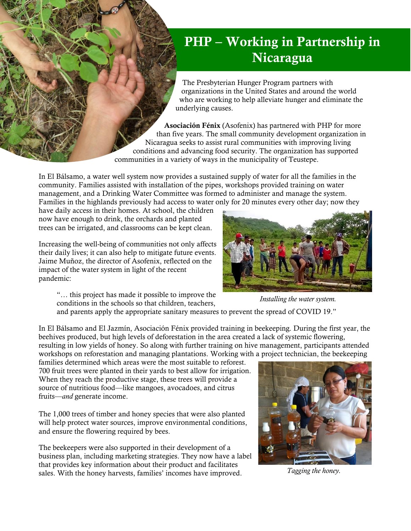## PHP – Working in Partnership in Nicaragua

The Presbyterian Hunger Program partners with organizations in the United States and around the world who are working to help alleviate hunger and eliminate the underlying causes.

Asociación Fénix (Asofenix) has partnered with PHP for more than five years. The small community development organization in Nicaragua seeks to assist rural communities with improving living conditions and advancing food security. The organization has supported communities in a variety of ways in the municipality of Teustepe.

In El Bálsamo, a water well system now provides a sustained supply of water for all the families in the community. Families assisted with installation of the pipes, workshops provided training on water management, and a Drinking Water Committee was formed to administer and manage the system. Families in the highlands previously had access to water only for 20 minutes every other day; now they

have daily access in their homes. At school, the children now have enough to drink, the orchards and planted trees can be irrigated, and classrooms can be kept clean.

Increasing the well-being of communities not only affects their daily lives; it can also help to mitigate future events. Jaime Muñoz, the director of Asofenix, reflected on the impact of the water system in light of the recent pandemic:

"… this project has made it possible to improve the conditions in the schools so that children, teachers,

*Installing the water system.*

and parents apply the appropriate sanitary measures to prevent the spread of COVID 19."

In El Bálsamo and El Jazmín, Asociación Fénix provided training in beekeeping. During the first year, the beehives produced, but high levels of deforestation in the area created a lack of systemic flowering, resulting in low yields of honey. So along with further training on hive management, participants attended workshops on reforestation and managing plantations. Working with a project technician, the beekeeping

families determined which areas were the most suitable to reforest. 700 fruit trees were planted in their yards to best allow for irrigation. When they reach the productive stage, these trees will provide a source of nutritious food—like mangoes, avocadoes, and citrus fruits—*and* generate income.

The 1,000 trees of timber and honey species that were also planted will help protect water sources, improve environmental conditions, and ensure the flowering required by bees.

The beekeepers were also supported in their development of a business plan, including marketing strategies. They now have a label that provides key information about their product and facilitates sales. With the honey harvests, families' incomes have improved.



*Tagging the honey.*